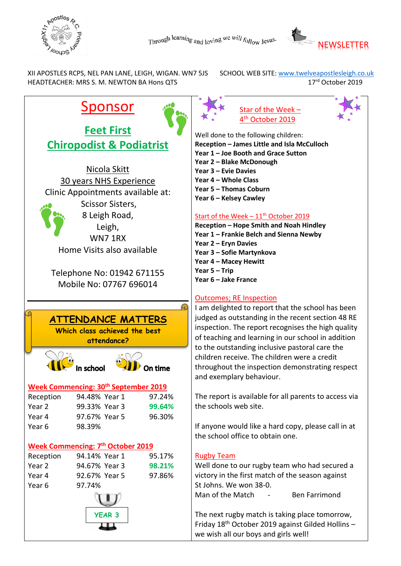



XII APOSTLES RCPS, NEL PAN LANE, LEIGH, WIGAN. WN7 5JS SCHOOL WEB SITE: www.twelveapostlesleigh.co.uk<br>HEADTEACHER: MRS S. M. NEWTON BA Hons OTS 17<sup>rd</sup> October 2019 HEADTEACHER: MRS S. M. NEWTON BA Hons QTS

# Sponsor

**Feet First Chiropodist & Podiatrist**

Nicola Skitt 30 years NHS Experience Clinic Appointments available at: Scissor Sisters, 8 Leigh Road, Leigh, WN7 1RX Home Visits also available

Telephone No: 01942 671155 Mobile No: 07767 696014

## ഩ **ATTENDANCE MATTERS Which class achieved the best attendance?** In school **Week Commencing: 30th September 2019** Reception 94.48% Year 1 97.24% Year 2 99.33% Year 3 **99.64%** Year 4 97.67% Year 5 96.30% Year 6 98.39% **Week Commencing: 7 th October 2019** Reception 94.14% Year 1 95.17% Year 2 94.67% Year 3 **98.21%** Year 4 92.67% Year 5 97.86% Year 6 97.74% **YEAR 3**





Well done to the following children: **Reception – James Little and Isla McCulloch Year 1 – Joe Booth and Grace Sutton**

- **Year 2 – Blake McDonough**
- **Year 3 – Evie Davies**
- **Year 4 – Whole Class**

**Year 5 – Thomas Coburn**

**Year 6 – Kelsey Cawley**

## Start of the Week  $-11^{th}$  October 2019

**Reception – Hope Smith and Noah Hindley Year 1 – Frankie Belch and Sienna Newby Year 2 – Eryn Davies Year 3 – Sofie Martynkova Year 4 – Macey Hewitt**

**Year 5 – Trip** 

#### **Year 6 – Jake France**

### Outcomes; RE Inspection

I am delighted to report that the school has been judged as outstanding in the recent section 48 RE inspection. The report recognises the high quality of teaching and learning in our school in addition to the outstanding inclusive pastoral care the children receive. The children were a credit throughout the inspection demonstrating respect and exemplary behaviour.

The report is available for all parents to access via the schools web site.

If anyone would like a hard copy, please call in at the school office to obtain one.

### Rugby Team

Well done to our rugby team who had secured a victory in the first match of the season against St Johns. We won 38-0.

Man of the Match - Ben Farrimond

The next rugby match is taking place tomorrow, Friday  $18<sup>th</sup>$  October 2019 against Gilded Hollins – we wish all our boys and girls well!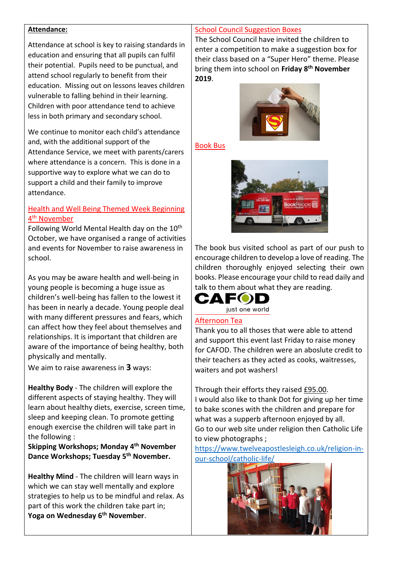#### **Attendance:**

Attendance at school is key to raising standards in education and ensuring that all pupils can fulfil their potential. Pupils need to be punctual, and attend school regularly to benefit from their education. Missing out on lessons leaves children vulnerable to falling behind in their learning. Children with poor attendance tend to achieve less in both primary and secondary school.

We continue to monitor each child's attendance and, with the additional support of the Attendance Service, we meet with parents/carers where attendance is a concern. This is done in a supportive way to explore what we can do to support a child and their family to improve attendance.

#### Health and Well Being Themed Week Beginning 4<sup>th</sup> November

Following World Mental Health day on the  $10<sup>th</sup>$ October, we have organised a range of activities and events for November to raise awareness in school.

As you may be aware health and well-being in young people is becoming a huge issue as children's well-being has fallen to the lowest it has been in nearly a decade. Young people deal with many different pressures and fears, which can affect how they feel about themselves and relationships. It is important that children are aware of the importance of being healthy, both physically and mentally.

We aim to raise awareness in **3** ways:

**Healthy Body** - The children will explore the different aspects of staying healthy. They will learn about healthy diets, exercise, screen time, sleep and keeping clean. To promote getting enough exercise the children will take part in the following :

**Skipping Workshops; Monday 4th November Dance Workshops; Tuesday 5th November.** 

**Healthy Mind** - The children will learn ways in which we can stay well mentally and explore strategies to help us to be mindful and relax. As part of this work the children take part in; **Yoga on Wednesday 6th November**.

#### School Council Suggestion Boxes

The School Council have invited the children to enter a competition to make a suggestion box for their class based on a "Super Hero" theme. Please bring them into school on **Friday 8th November 2019**.



Book Bus



The book bus visited school as part of our push to encourage children to develop a love of reading. The children thoroughly enjoyed selecting their own books. Please encourage your child to read daily and talk to them about what they are reading.



#### Afternoon Tea

Thank you to all thoses that were able to attend and support this event last Friday to raise money for CAFOD. The children were an aboslute credit to their teachers as they acted as cooks, waitresses, waiters and pot washers!

Through their efforts they raised £95.00. I would also like to thank Dot for giving up her time to bake scones with the children and prepare for what was a supperb afternoon enjoyed by all. Go to our web site under religion then Catholic Life to view photographs ;

[https://www.twelveapostlesleigh.co.uk/religion-in](https://www.twelveapostlesleigh.co.uk/religion-in-our-school/catholic-life/)[our-school/catholic-life/](https://www.twelveapostlesleigh.co.uk/religion-in-our-school/catholic-life/)

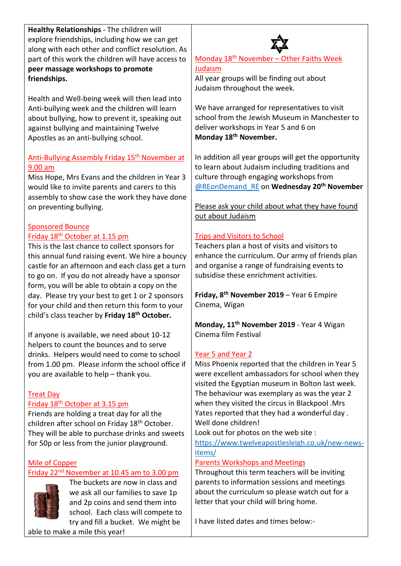**Healthy Relationships** - The children will explore friendships, including how we can get along with each other and conflict resolution. As part of this work the children will have access to **peer massage workshops to promote friendships.**

Health and Well-being week will then lead into Anti-bullying week and the children will learn about bullying, how to prevent it, speaking out against bullying and maintaining Twelve Apostles as an anti-bullying school.

#### Anti-Bullying Assembly Friday 15<sup>th</sup> November at 9.00 am

Miss Hope, Mrs Evans and the children in Year 3 would like to invite parents and carers to this assembly to show case the work they have done on preventing bullying.

#### Sponsored Bounce Friday 18th October at 1.15 pm

This is the last chance to collect sponsors for this annual fund raising event. We hire a bouncy castle for an afternoon and each class get a turn to go on. If you do not already have a sponsor form, you will be able to obtain a copy on the day. Please try your best to get 1 or 2 sponsors for your child and then return this form to your child's class teacher by **Friday 18 th October.**

If anyone is available, we need about 10-12 helpers to count the bounces and to serve drinks. Helpers would need to come to school from 1.00 pm. Please inform the school office if you are available to help – thank you.

### Treat Day

### Friday 18<sup>th</sup> October at 3.15 pm

Friends are holding a treat day for all the children after school on Friday 18th October. They will be able to purchase drinks and sweets for 50p or less from the junior playground.

## Mile of Copper

## Friday 22<sup>nd</sup> November at 10.45 am to 3.00 pm



The buckets are now in class and we ask all our families to save 1p and 2p coins and send them into school. Each class will compete to try and fill a bucket. We might be

able to make a mile this year!

## Monday 18<sup>th</sup> November - Other Faiths Week Judaism

All year groups will be finding out about Judaism throughout the week.

We have arranged for representatives to visit school from the Jewish Museum in Manchester to deliver workshops in Year 5 and 6 on **Monday 18th November.**

In addition all year groups will get the opportunity to learn about Judaism including traditions and culture through engaging workshops from [@REonDemand\\_RE](https://twitter.com/REonDemand_RE) on **Wednesday 20th November**

#### Please ask your child about what they have found out about Judaism

#### Trips and Visitors to School

Teachers plan a host of visits and visitors to enhance the curriculum. Our army of friends plan and organise a range of fundraising events to subsidise these enrichment activities.

**Friday, 8th November 2019** – Year 6 Empire Cinema, Wigan

**Monday, 11th November 2019** - Year 4 Wigan Cinema film Festival

#### Year 5 and Year 2

Miss Phoenix reported that the children in Year 5 were excellent ambassadors for school when they visited the Egyptian museum in Bolton last week. The behaviour was exemplary as was the year 2 when they visited the circus in Blackpool .Mrs Yates reported that they had a wonderful day . Well done children!

Look out for photos on the web site :

[https://www.twelveapostlesleigh.co.uk/new-news](https://www.twelveapostlesleigh.co.uk/new-news-items/)[items/](https://www.twelveapostlesleigh.co.uk/new-news-items/)

#### Parents Workshops and Meetings

Throughout this term teachers will be inviting parents to information sessions and meetings about the curriculum so please watch out for a letter that your child will bring home.

I have listed dates and times below:-